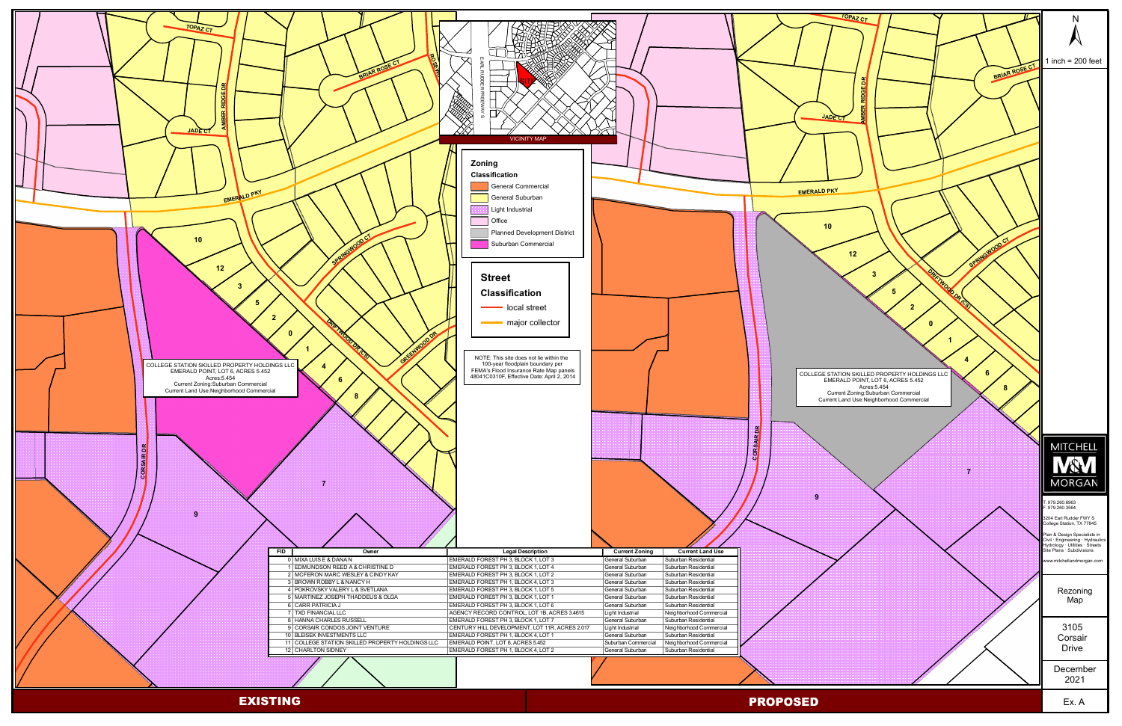